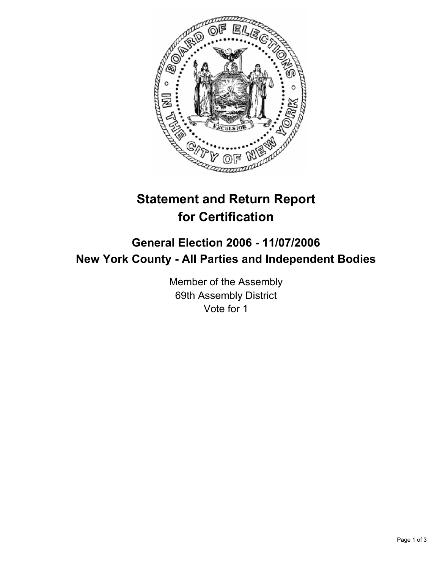

# **Statement and Return Report for Certification**

## **General Election 2006 - 11/07/2006 New York County - All Parties and Independent Bodies**

Member of the Assembly 69th Assembly District Vote for 1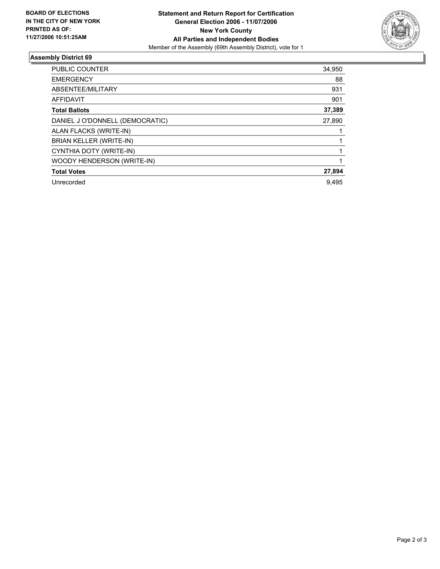

### **Assembly District 69**

| PUBLIC COUNTER                  | 34,950 |
|---------------------------------|--------|
| <b>EMERGENCY</b>                | 88     |
| ABSENTEE/MILITARY               | 931    |
| <b>AFFIDAVIT</b>                | 901    |
| <b>Total Ballots</b>            | 37,389 |
| DANIEL J O'DONNELL (DEMOCRATIC) | 27,890 |
| ALAN FLACKS (WRITE-IN)          |        |
| BRIAN KELLER (WRITE-IN)         |        |
| CYNTHIA DOTY (WRITE-IN)         |        |
| WOODY HENDERSON (WRITE-IN)      |        |
| <b>Total Votes</b>              | 27,894 |
| Unrecorded                      | 9.495  |